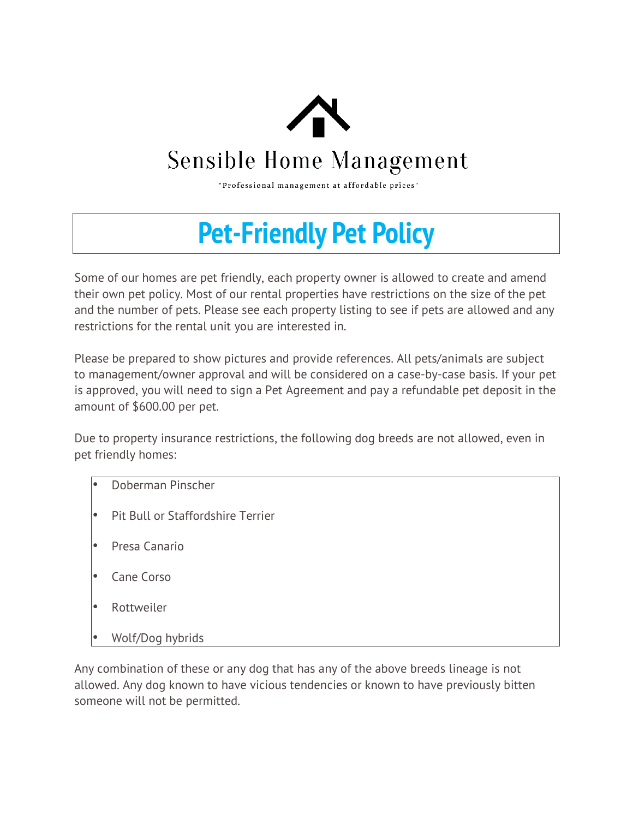

## **Sensible Home Management**

"Professional management at affordable prices"

## **Pet-Friendly Pet Policy**

Some of our homes are pet friendly, each property owner is allowed to create and amend their own pet policy. Most of our rental properties have restrictions on the size of the pet and the number of pets. Please see each property listing to see if pets are allowed and any restrictions for the rental unit you are interested in.

Please be prepared to show pictures and provide references. All pets/animals are subject to management/owner approval and will be considered on a case-by-case basis. If your pet is approved, you will need to sign a Pet Agreement and pay a refundable pet deposit in the amount of \$600.00 per pet.

Due to property insurance restrictions, the following dog breeds are not allowed, even in pet friendly homes:

- Doberman Pinscher
- Pit Bull or Staffordshire Terrier
- Presa Canario
- Cane Corso
- Rottweiler
- Wolf/Dog hybrids

Any combination of these or any dog that has any of the above breeds lineage is not allowed. Any dog known to have vicious tendencies or known to have previously bitten someone will not be permitted.